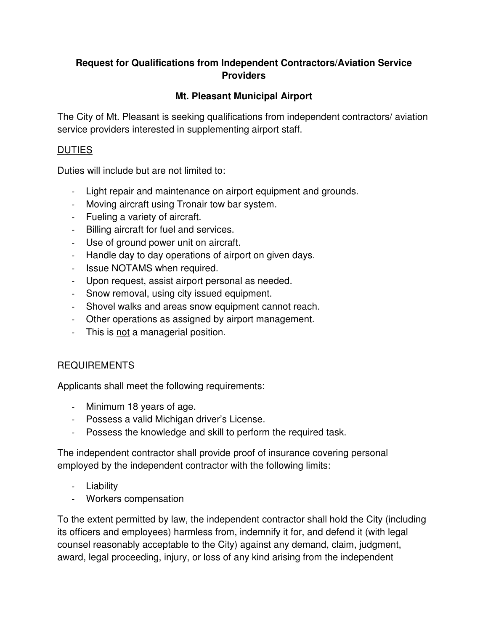### **Request for Qualifications from Independent Contractors/Aviation Service Providers**

# **Mt. Pleasant Municipal Airport**

The City of Mt. Pleasant is seeking qualifications from independent contractors/ aviation service providers interested in supplementing airport staff.

### **DUTIES**

Duties will include but are not limited to:

- Light repair and maintenance on airport equipment and grounds.
- Moving aircraft using Tronair tow bar system.
- Fueling a variety of aircraft.
- Billing aircraft for fuel and services.
- Use of ground power unit on aircraft.
- Handle day to day operations of airport on given days.
- Issue NOTAMS when required.
- Upon request, assist airport personal as needed.
- Snow removal, using city issued equipment.
- Shovel walks and areas snow equipment cannot reach.
- Other operations as assigned by airport management.
- This is not a managerial position.

#### REQUIREMENTS

Applicants shall meet the following requirements:

- Minimum 18 years of age.
- Possess a valid Michigan driver's License.
- Possess the knowledge and skill to perform the required task.

The independent contractor shall provide proof of insurance covering personal employed by the independent contractor with the following limits:

- Liability
- Workers compensation

To the extent permitted by law, the independent contractor shall hold the City (including its officers and employees) harmless from, indemnify it for, and defend it (with legal counsel reasonably acceptable to the City) against any demand, claim, judgment, award, legal proceeding, injury, or loss of any kind arising from the independent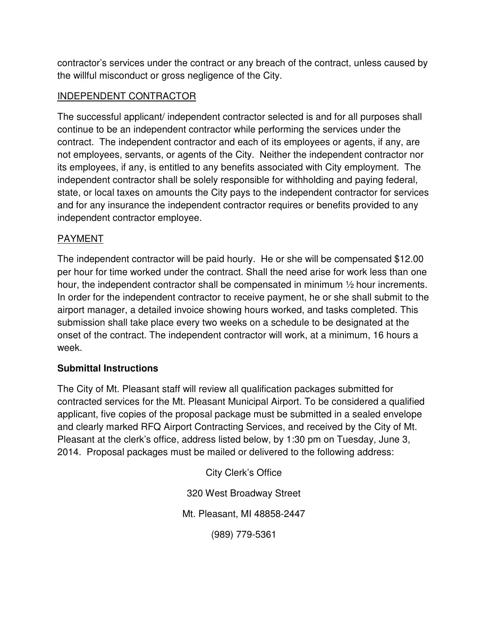contractor's services under the contract or any breach of the contract, unless caused by the willful misconduct or gross negligence of the City.

### INDEPENDENT CONTRACTOR

The successful applicant/ independent contractor selected is and for all purposes shall continue to be an independent contractor while performing the services under the contract. The independent contractor and each of its employees or agents, if any, are not employees, servants, or agents of the City. Neither the independent contractor nor its employees, if any, is entitled to any benefits associated with City employment. The independent contractor shall be solely responsible for withholding and paying federal, state, or local taxes on amounts the City pays to the independent contractor for services and for any insurance the independent contractor requires or benefits provided to any independent contractor employee.

# PAYMENT

The independent contractor will be paid hourly. He or she will be compensated \$12.00 per hour for time worked under the contract. Shall the need arise for work less than one hour, the independent contractor shall be compensated in minimum ½ hour increments. In order for the independent contractor to receive payment, he or she shall submit to the airport manager, a detailed invoice showing hours worked, and tasks completed. This submission shall take place every two weeks on a schedule to be designated at the onset of the contract. The independent contractor will work, at a minimum, 16 hours a week.

# **Submittal Instructions**

The City of Mt. Pleasant staff will review all qualification packages submitted for contracted services for the Mt. Pleasant Municipal Airport. To be considered a qualified applicant, five copies of the proposal package must be submitted in a sealed envelope and clearly marked RFQ Airport Contracting Services, and received by the City of Mt. Pleasant at the clerk's office, address listed below, by 1:30 pm on Tuesday, June 3, 2014. Proposal packages must be mailed or delivered to the following address:

> City Clerk's Office 320 West Broadway Street Mt. Pleasant, MI 48858-2447 (989) 779-5361